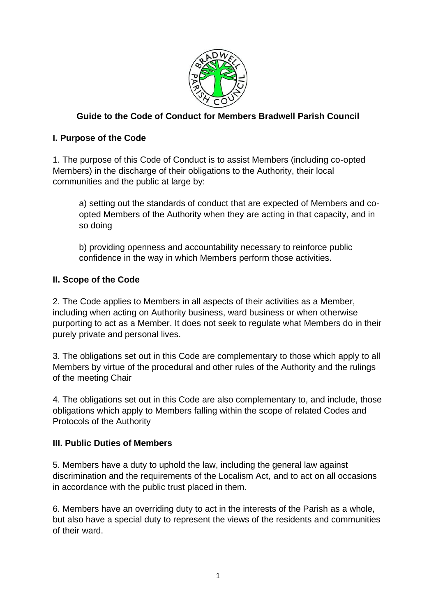

# **Guide to the Code of Conduct for Members Bradwell Parish Council**

# **I. Purpose of the Code**

1. The purpose of this Code of Conduct is to assist Members (including co-opted Members) in the discharge of their obligations to the Authority, their local communities and the public at large by:

a) setting out the standards of conduct that are expected of Members and coopted Members of the Authority when they are acting in that capacity, and in so doing

b) providing openness and accountability necessary to reinforce public confidence in the way in which Members perform those activities.

## **II. Scope of the Code**

2. The Code applies to Members in all aspects of their activities as a Member, including when acting on Authority business, ward business or when otherwise purporting to act as a Member. It does not seek to regulate what Members do in their purely private and personal lives.

3. The obligations set out in this Code are complementary to those which apply to all Members by virtue of the procedural and other rules of the Authority and the rulings of the meeting Chair

4. The obligations set out in this Code are also complementary to, and include, those obligations which apply to Members falling within the scope of related Codes and Protocols of the Authority

## **III. Public Duties of Members**

5. Members have a duty to uphold the law, including the general law against discrimination and the requirements of the Localism Act, and to act on all occasions in accordance with the public trust placed in them.

6. Members have an overriding duty to act in the interests of the Parish as a whole, but also have a special duty to represent the views of the residents and communities of their ward.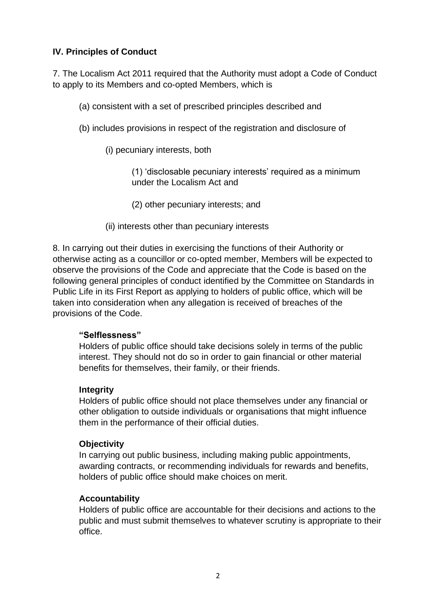# **IV. Principles of Conduct**

7. The Localism Act 2011 required that the Authority must adopt a Code of Conduct to apply to its Members and co-opted Members, which is

(a) consistent with a set of prescribed principles described and

- (b) includes provisions in respect of the registration and disclosure of
	- (i) pecuniary interests, both

(1) 'disclosable pecuniary interests' required as a minimum under the Localism Act and

- (2) other pecuniary interests; and
- (ii) interests other than pecuniary interests

8. In carrying out their duties in exercising the functions of their Authority or otherwise acting as a councillor or co-opted member, Members will be expected to observe the provisions of the Code and appreciate that the Code is based on the following general principles of conduct identified by the Committee on Standards in Public Life in its First Report as applying to holders of public office, which will be taken into consideration when any allegation is received of breaches of the provisions of the Code.

## **"Selflessness"**

Holders of public office should take decisions solely in terms of the public interest. They should not do so in order to gain financial or other material benefits for themselves, their family, or their friends.

#### **Integrity**

Holders of public office should not place themselves under any financial or other obligation to outside individuals or organisations that might influence them in the performance of their official duties.

## **Objectivity**

In carrying out public business, including making public appointments, awarding contracts, or recommending individuals for rewards and benefits, holders of public office should make choices on merit.

## **Accountability**

Holders of public office are accountable for their decisions and actions to the public and must submit themselves to whatever scrutiny is appropriate to their office.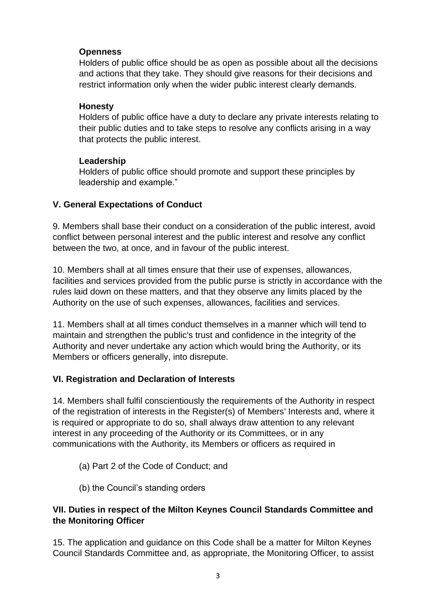#### **Openness**

Holders of public office should be as open as possible about all the decisions and actions that they take. They should give reasons for their decisions and restrict information only when the wider public interest clearly demands.

#### **Honesty**

Holders of public office have a duty to declare any private interests relating to their public duties and to take steps to resolve any conflicts arising in a way that protects the public interest.

#### **Leadership**

Holders of public office should promote and support these principles by leadership and example."

## **V. General Expectations of Conduct**

9. Members shall base their conduct on a consideration of the public interest, avoid conflict between personal interest and the public interest and resolve any conflict between the two, at once, and in favour of the public interest.

10. Members shall at all times ensure that their use of expenses, allowances, facilities and services provided from the public purse is strictly in accordance with the rules laid down on these matters, and that they observe any limits placed by the Authority on the use of such expenses, allowances, facilities and services.

11. Members shall at all times conduct themselves in a manner which will tend to maintain and strengthen the public's trust and confidence in the integrity of the Authority and never undertake any action which would bring the Authority, or its Members or officers generally, into disrepute.

## **VI. Registration and Declaration of Interests**

14. Members shall fulfil conscientiously the requirements of the Authority in respect of the registration of interests in the Register(s) of Members' Interests and, where it is required or appropriate to do so, shall always draw attention to any relevant interest in any proceeding of the Authority or its Committees, or in any communications with the Authority, its Members or officers as required in

- (a) Part 2 of the Code of Conduct; and
- (b) the Council's standing orders

## **VII. Duties in respect of the Milton Keynes Council Standards Committee and the Monitoring Officer**

15. The application and guidance on this Code shall be a matter for Milton Keynes Council Standards Committee and, as appropriate, the Monitoring Officer, to assist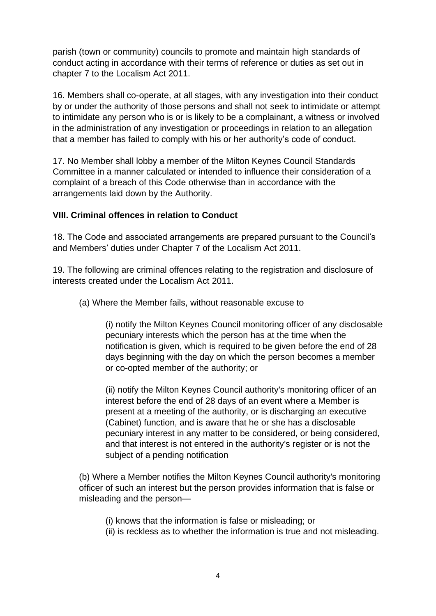parish (town or community) councils to promote and maintain high standards of conduct acting in accordance with their terms of reference or duties as set out in chapter 7 to the Localism Act 2011.

16. Members shall co-operate, at all stages, with any investigation into their conduct by or under the authority of those persons and shall not seek to intimidate or attempt to intimidate any person who is or is likely to be a complainant, a witness or involved in the administration of any investigation or proceedings in relation to an allegation that a member has failed to comply with his or her authority's code of conduct.

17. No Member shall lobby a member of the Milton Keynes Council Standards Committee in a manner calculated or intended to influence their consideration of a complaint of a breach of this Code otherwise than in accordance with the arrangements laid down by the Authority.

#### **VIII. Criminal offences in relation to Conduct**

18. The Code and associated arrangements are prepared pursuant to the Council's and Members' duties under Chapter 7 of the Localism Act 2011.

19. The following are criminal offences relating to the registration and disclosure of interests created under the Localism Act 2011.

(a) Where the Member fails, without reasonable excuse to

(i) notify the Milton Keynes Council monitoring officer of any disclosable pecuniary interests which the person has at the time when the notification is given, which is required to be given before the end of 28 days beginning with the day on which the person becomes a member or co-opted member of the authority; or

(ii) notify the Milton Keynes Council authority's monitoring officer of an interest before the end of 28 days of an event where a Member is present at a meeting of the authority, or is discharging an executive (Cabinet) function, and is aware that he or she has a disclosable pecuniary interest in any matter to be considered, or being considered, and that interest is not entered in the authority's register or is not the subject of a pending notification

(b) Where a Member notifies the Milton Keynes Council authority's monitoring officer of such an interest but the person provides information that is false or misleading and the person—

(i) knows that the information is false or misleading; or

(ii) is reckless as to whether the information is true and not misleading.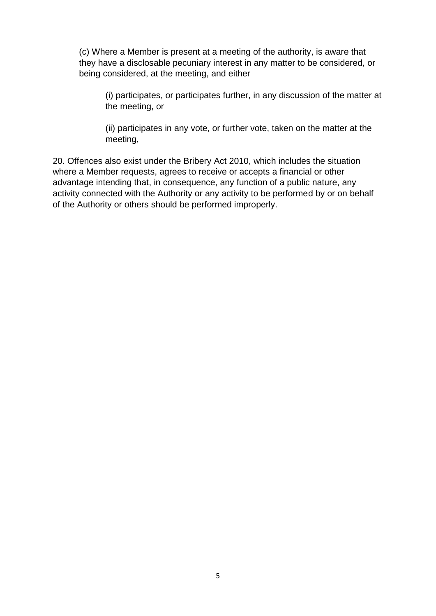(c) Where a Member is present at a meeting of the authority, is aware that they have a disclosable pecuniary interest in any matter to be considered, or being considered, at the meeting, and either

(i) participates, or participates further, in any discussion of the matter at the meeting, or

(ii) participates in any vote, or further vote, taken on the matter at the meeting,

20. Offences also exist under the Bribery Act 2010, which includes the situation where a Member requests, agrees to receive or accepts a financial or other advantage intending that, in consequence, any function of a public nature, any activity connected with the Authority or any activity to be performed by or on behalf of the Authority or others should be performed improperly.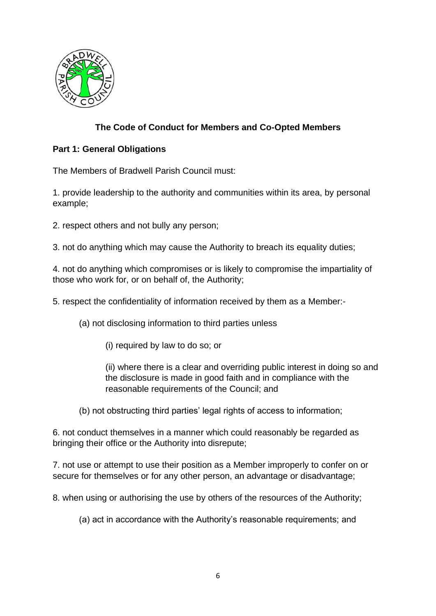

# **The Code of Conduct for Members and Co-Opted Members**

## **Part 1: General Obligations**

The Members of Bradwell Parish Council must:

1. provide leadership to the authority and communities within its area, by personal example;

- 2. respect others and not bully any person;
- 3. not do anything which may cause the Authority to breach its equality duties;

4. not do anything which compromises or is likely to compromise the impartiality of those who work for, or on behalf of, the Authority;

5. respect the confidentiality of information received by them as a Member:-

- (a) not disclosing information to third parties unless
	- (i) required by law to do so; or

(ii) where there is a clear and overriding public interest in doing so and the disclosure is made in good faith and in compliance with the reasonable requirements of the Council; and

(b) not obstructing third parties' legal rights of access to information;

6. not conduct themselves in a manner which could reasonably be regarded as bringing their office or the Authority into disrepute;

7. not use or attempt to use their position as a Member improperly to confer on or secure for themselves or for any other person, an advantage or disadvantage;

8. when using or authorising the use by others of the resources of the Authority;

(a) act in accordance with the Authority's reasonable requirements; and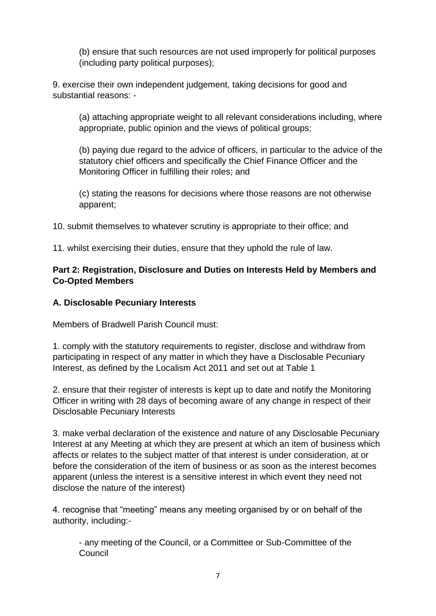(b) ensure that such resources are not used improperly for political purposes (including party political purposes);

9. exercise their own independent judgement, taking decisions for good and substantial reasons: -

(a) attaching appropriate weight to all relevant considerations including, where appropriate, public opinion and the views of political groups;

(b) paying due regard to the advice of officers, in particular to the advice of the statutory chief officers and specifically the Chief Finance Officer and the Monitoring Officer in fulfilling their roles; and

(c) stating the reasons for decisions where those reasons are not otherwise apparent;

10. submit themselves to whatever scrutiny is appropriate to their office; and

11. whilst exercising their duties, ensure that they uphold the rule of law.

## **Part 2: Registration, Disclosure and Duties on Interests Held by Members and Co-Opted Members**

#### **A. Disclosable Pecuniary Interests**

Members of Bradwell Parish Council must:

1. comply with the statutory requirements to register, disclose and withdraw from participating in respect of any matter in which they have a Disclosable Pecuniary Interest, as defined by the Localism Act 2011 and set out at Table 1

2. ensure that their register of interests is kept up to date and notify the Monitoring Officer in writing with 28 days of becoming aware of any change in respect of their Disclosable Pecuniary Interests

3. make verbal declaration of the existence and nature of any Disclosable Pecuniary Interest at any Meeting at which they are present at which an item of business which affects or relates to the subject matter of that interest is under consideration, at or before the consideration of the item of business or as soon as the interest becomes apparent (unless the interest is a sensitive interest in which event they need not disclose the nature of the interest)

4. recognise that "meeting" means any meeting organised by or on behalf of the authority, including:-

- any meeting of the Council, or a Committee or Sub-Committee of the **Council**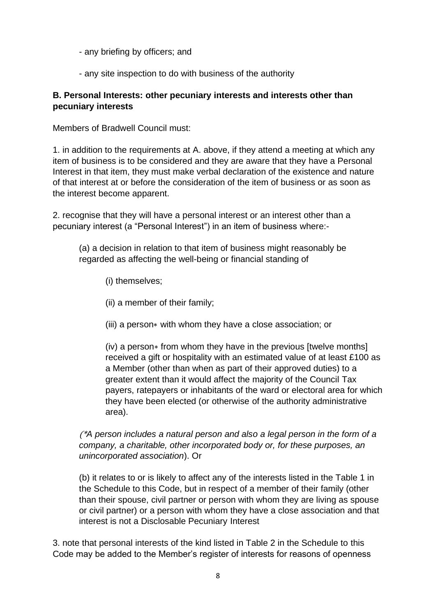- any briefing by officers; and
- any site inspection to do with business of the authority

#### **B. Personal Interests: other pecuniary interests and interests other than pecuniary interests**

Members of Bradwell Council must:

1. in addition to the requirements at A. above, if they attend a meeting at which any item of business is to be considered and they are aware that they have a Personal Interest in that item, they must make verbal declaration of the existence and nature of that interest at or before the consideration of the item of business or as soon as the interest become apparent.

2. recognise that they will have a personal interest or an interest other than a pecuniary interest (a "Personal Interest") in an item of business where:-

(a) a decision in relation to that item of business might reasonably be regarded as affecting the well-being or financial standing of

- (i) themselves;
- (ii) a member of their family;
- (iii) a person∗ with whom they have a close association; or

(iv) a person∗ from whom they have in the previous [twelve months] received a gift or hospitality with an estimated value of at least £100 as a Member (other than when as part of their approved duties) to a greater extent than it would affect the majority of the Council Tax payers, ratepayers or inhabitants of the ward or electoral area for which they have been elected (or otherwise of the authority administrative area).

(\**A person includes a natural person and also a legal person in the form of a company, a charitable, other incorporated body or, for these purposes, an unincorporated association*). Or

(b) it relates to or is likely to affect any of the interests listed in the Table 1 in the Schedule to this Code, but in respect of a member of their family (other than their spouse, civil partner or person with whom they are living as spouse or civil partner) or a person with whom they have a close association and that interest is not a Disclosable Pecuniary Interest

3. note that personal interests of the kind listed in Table 2 in the Schedule to this Code may be added to the Member's register of interests for reasons of openness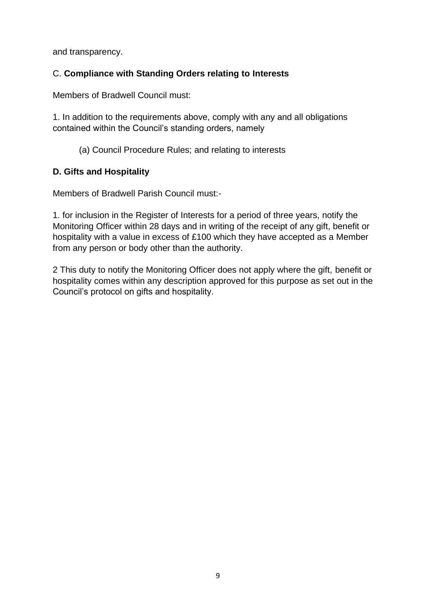and transparency.

# C. **Compliance with Standing Orders relating to Interests**

Members of Bradwell Council must:

1. In addition to the requirements above, comply with any and all obligations contained within the Council's standing orders, namely

(a) Council Procedure Rules; and relating to interests

## **D. Gifts and Hospitality**

Members of Bradwell Parish Council must:-

1. for inclusion in the Register of Interests for a period of three years, notify the Monitoring Officer within 28 days and in writing of the receipt of any gift, benefit or hospitality with a value in excess of £100 which they have accepted as a Member from any person or body other than the authority.

2 This duty to notify the Monitoring Officer does not apply where the gift, benefit or hospitality comes within any description approved for this purpose as set out in the Council's protocol on gifts and hospitality.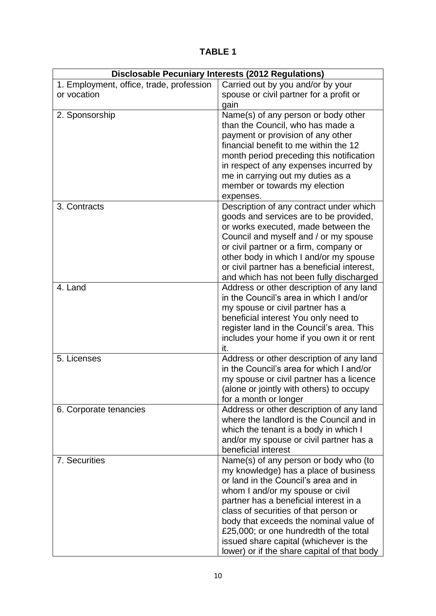**TABLE 1**

| <b>Disclosable Pecuniary Interests (2012 Regulations)</b> |                                                                                  |
|-----------------------------------------------------------|----------------------------------------------------------------------------------|
| 1. Employment, office, trade, profession                  | Carried out by you and/or by your                                                |
| or vocation                                               | spouse or civil partner for a profit or                                          |
|                                                           | gain                                                                             |
| 2. Sponsorship                                            | Name(s) of any person or body other                                              |
|                                                           | than the Council, who has made a                                                 |
|                                                           | payment or provision of any other                                                |
|                                                           | financial benefit to me within the 12                                            |
|                                                           | month period preceding this notification                                         |
|                                                           | in respect of any expenses incurred by                                           |
|                                                           | me in carrying out my duties as a                                                |
|                                                           | member or towards my election                                                    |
|                                                           | expenses.                                                                        |
| 3. Contracts                                              | Description of any contract under which                                          |
|                                                           | goods and services are to be provided,<br>or works executed, made between the    |
|                                                           | Council and myself and / or my spouse                                            |
|                                                           | or civil partner or a firm, company or                                           |
|                                                           | other body in which I and/or my spouse                                           |
|                                                           | or civil partner has a beneficial interest,                                      |
|                                                           | and which has not been fully discharged                                          |
| 4. Land                                                   | Address or other description of any land                                         |
|                                                           | in the Council's area in which I and/or                                          |
|                                                           | my spouse or civil partner has a                                                 |
|                                                           | beneficial interest You only need to                                             |
|                                                           | register land in the Council's area. This                                        |
|                                                           | includes your home if you own it or rent                                         |
|                                                           | it.                                                                              |
| 5. Licenses                                               | Address or other description of any land                                         |
|                                                           | in the Council's area for which I and/or                                         |
|                                                           | my spouse or civil partner has a licence                                         |
|                                                           | (alone or jointly with others) to occupy                                         |
|                                                           | for a month or longer                                                            |
| 6. Corporate tenancies                                    | Address or other description of any land                                         |
|                                                           | where the landlord is the Council and in                                         |
|                                                           | which the tenant is a body in which I<br>and/or my spouse or civil partner has a |
|                                                           | beneficial interest                                                              |
| 7. Securities                                             | Name(s) of any person or body who (to                                            |
|                                                           | my knowledge) has a place of business                                            |
|                                                           | or land in the Council's area and in                                             |
|                                                           | whom I and/or my spouse or civil                                                 |
|                                                           | partner has a beneficial interest in a                                           |
|                                                           | class of securities of that person or                                            |
|                                                           | body that exceeds the nominal value of                                           |
|                                                           | £25,000; or one hundredth of the total                                           |
|                                                           | issued share capital (whichever is the                                           |
|                                                           | lower) or if the share capital of that body                                      |